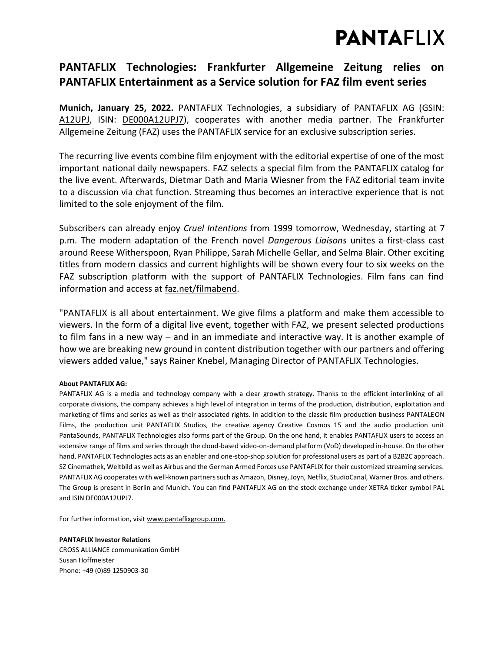# **PANTAFLIX**

### **PANTAFLIX Technologies: Frankfurter Allgemeine Zeitung relies on PANTAFLIX Entertainment as a Service solution for FAZ film event series**

**Munich, January 25, 2022.** PANTAFLIX Technologies, a subsidiary of PANTAFLIX AG (GSIN: [A12UPJ,](https://www.boerse-frankfurt.de/aktie/pantaflix-ag) ISIN: [DE000A12UPJ7\)](https://www.boerse-frankfurt.de/equity/pantaflix-ag), cooperates with another media partner. The Frankfurter Allgemeine Zeitung (FAZ) uses the PANTAFLIX service for an exclusive subscription series.

The recurring live events combine film enjoyment with the editorial expertise of one of the most important national daily newspapers. FAZ selects a special film from the PANTAFLIX catalog for the live event. Afterwards, Dietmar Dath and Maria Wiesner from the FAZ editorial team invite to a discussion via chat function. Streaming thus becomes an interactive experience that is not limited to the sole enjoyment of the film.

Subscribers can already enjoy *Cruel Intentions* from 1999 tomorrow, Wednesday, starting at 7 p.m. The modern adaptation of the French novel *Dangerous Liaisons* unites a first-class cast around Reese Witherspoon, Ryan Philippe, Sarah Michelle Gellar, and Selma Blair. Other exciting titles from modern classics and current highlights will be shown every four to six weeks on the FAZ subscription platform with the support of PANTAFLIX Technologies. Film fans can find information and access at [faz.net/filmabend.](https://www.faz.net/aktuell/feuilleton/kino/f-a-z-filmabend-zu-eiskalte-engel-fuer-abonnenten-17683593.html)

"PANTAFLIX is all about entertainment. We give films a platform and make them accessible to viewers. In the form of a digital live event, together with FAZ, we present selected productions to film fans in a new way – and in an immediate and interactive way. It is another example of how we are breaking new ground in content distribution together with our partners and offering viewers added value," says Rainer Knebel, Managing Director of PANTAFLIX Technologies.

#### **About PANTAFLIX AG:**

PANTAFLIX AG is a media and technology company with a clear growth strategy. Thanks to the efficient interlinking of all corporate divisions, the company achieves a high level of integration in terms of the production, distribution, exploitation and marketing of films and series as well as their associated rights. In addition to the classic film production business PANTALEON Films, the production unit PANTAFLIX Studios, the creative agency Creative Cosmos 15 and the audio production unit PantaSounds, PANTAFLIX Technologies also forms part of the Group. On the one hand, it enables PANTAFLIX users to access an extensive range of films and series through the cloud-based video-on-demand platform (VoD) developed in-house. On the other hand, PANTAFLIX Technologies acts as an enabler and one-stop-shop solution for professional users as part of a B2B2C approach. SZ Cinemathek, Weltbild as well as Airbus and the German Armed Forces use PANTAFLIX for their customized streaming services. PANTAFLIX AG cooperates with well-known partners such as Amazon, Disney, Joyn, Netflix, StudioCanal, Warner Bros. and others. The Group is present in Berlin and Munich. You can find PANTAFLIX AG on the stock exchange under XETRA ticker symbol PAL and [ISIN DE000A12UPJ7.](https://www.boerse-frankfurt.de/equity/pantaflix-ag)

For further information, visi[t www.pantaflixgroup.com.](https://www.pantaflixgroup.com/)

**PANTAFLIX Investor Relations** CROSS ALLIANCE communication GmbH Susan Hoffmeister Phone: +49 (0)89 1250903-30